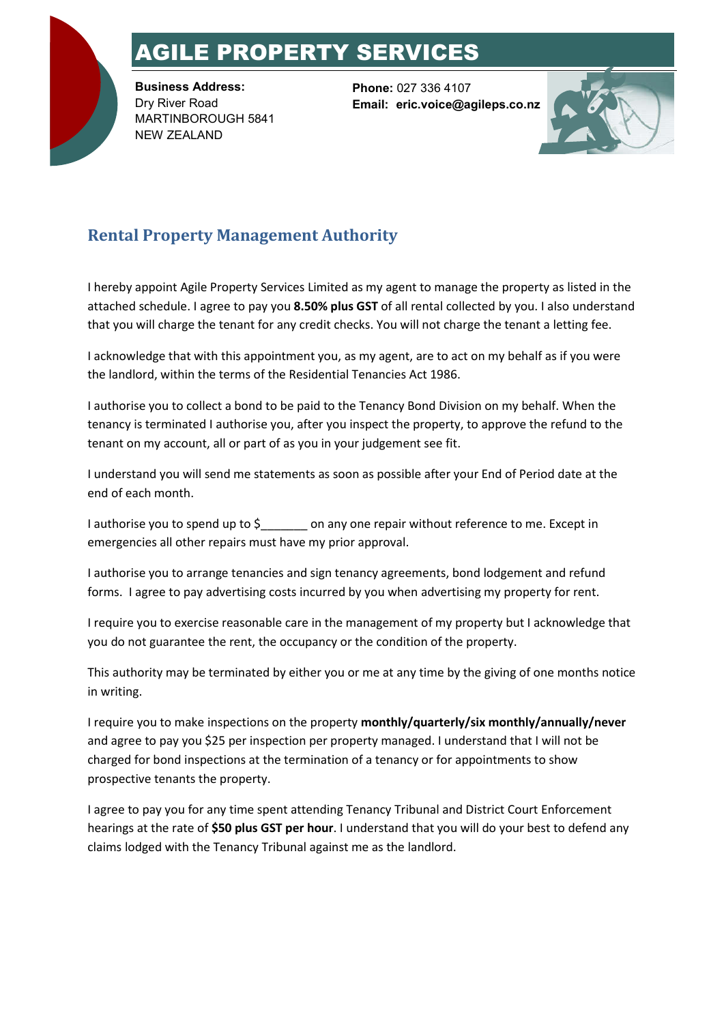## AGILE PROPERTY SERVICES

**Business Address:** Dry River Road MARTINBOROUGH 5841 NEW ZEALAND

**Phone:** 027 336 4107 **Email: eric.voice@agileps.co.nz**



## **Rental Property Management Authority**

I hereby appoint Agile Property Services Limited as my agent to manage the property as listed in the attached schedule. I agree to pay you **8.50% plus GST** of all rental collected by you. I also understand that you will charge the tenant for any credit checks. You will not charge the tenant a letting fee.

I acknowledge that with this appointment you, as my agent, are to act on my behalf as if you were the landlord, within the terms of the Residential Tenancies Act 1986.

I authorise you to collect a bond to be paid to the Tenancy Bond Division on my behalf. When the tenancy is terminated I authorise you, after you inspect the property, to approve the refund to the tenant on my account, all or part of as you in your judgement see fit.

I understand you will send me statements as soon as possible after your End of Period date at the end of each month.

I authorise you to spend up to \$\_\_\_\_\_\_\_ on any one repair without reference to me. Except in emergencies all other repairs must have my prior approval.

I authorise you to arrange tenancies and sign tenancy agreements, bond lodgement and refund forms. I agree to pay advertising costs incurred by you when advertising my property for rent.

I require you to exercise reasonable care in the management of my property but I acknowledge that you do not guarantee the rent, the occupancy or the condition of the property.

This authority may be terminated by either you or me at any time by the giving of one months notice in writing.

I require you to make inspections on the property **monthly/quarterly/six monthly/annually/never** and agree to pay you \$25 per inspection per property managed. I understand that I will not be charged for bond inspections at the termination of a tenancy or for appointments to show prospective tenants the property.

I agree to pay you for any time spent attending Tenancy Tribunal and District Court Enforcement hearings at the rate of **\$50 plus GST per hour**. I understand that you will do your best to defend any claims lodged with the Tenancy Tribunal against me as the landlord.